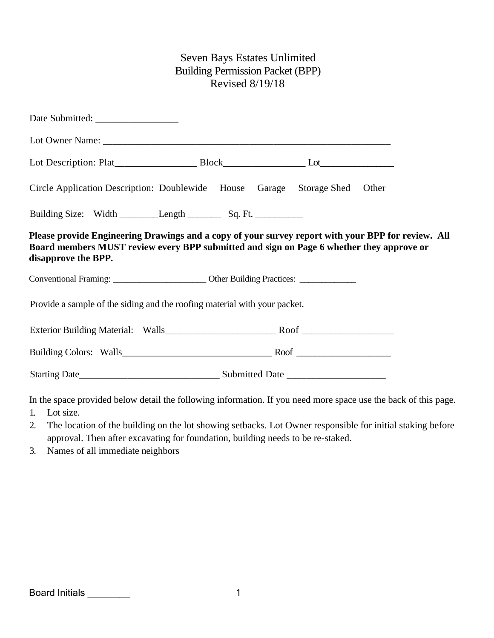# Seven Bays Estates Unlimited Building Permission Packet (BPP) Revised 8/19/18

| Circle Application Description: Doublewide House Garage Storage Shed Other                                                                                                                                            |  |  |  |  |  |  |  |
|-----------------------------------------------------------------------------------------------------------------------------------------------------------------------------------------------------------------------|--|--|--|--|--|--|--|
|                                                                                                                                                                                                                       |  |  |  |  |  |  |  |
| Please provide Engineering Drawings and a copy of your survey report with your BPP for review. All<br>Board members MUST review every BPP submitted and sign on Page 6 whether they approve or<br>disapprove the BPP. |  |  |  |  |  |  |  |
|                                                                                                                                                                                                                       |  |  |  |  |  |  |  |
| Provide a sample of the siding and the roofing material with your packet.                                                                                                                                             |  |  |  |  |  |  |  |
|                                                                                                                                                                                                                       |  |  |  |  |  |  |  |
|                                                                                                                                                                                                                       |  |  |  |  |  |  |  |
|                                                                                                                                                                                                                       |  |  |  |  |  |  |  |

In the space provided below detail the following information. If you need more space use the back of this page.

- 1. Lot size.
- 2. The location of the building on the lot showing setbacks. Lot Owner responsible for initial staking before approval. Then after excavating for foundation, building needs to be re-staked.
- 3. Names of all immediate neighbors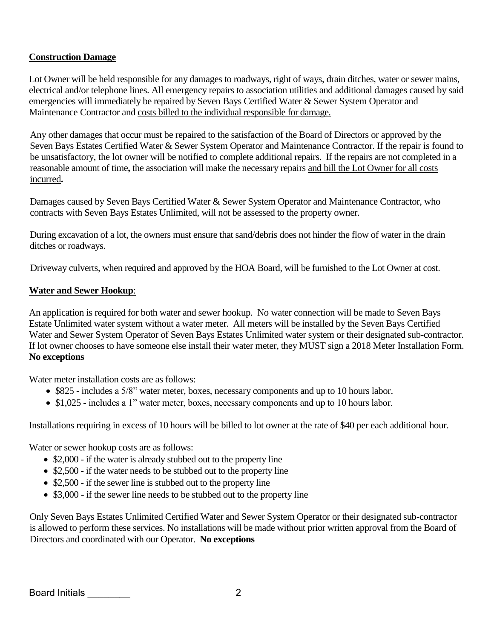## **Construction Damage**

Lot Owner will be held responsible for any damages to roadways, right of ways, drain ditches, water or sewer mains, electrical and/or telephone lines. All emergency repairs to association utilities and additional damages caused by said emergencies will immediately be repaired by Seven Bays Certified Water & Sewer System Operator and Maintenance Contractor and costs billed to the individual responsible for damage.

Any other damages that occur must be repaired to the satisfaction of the Board of Directors or approved by the Seven Bays Estates Certified Water & Sewer System Operator and Maintenance Contractor. If the repair is found to be unsatisfactory, the lot owner will be notified to complete additional repairs. If the repairs are not completed in a reasonable amount of time**,** the association will make the necessary repairs and bill the Lot Owner for all costs incurred**.**

Damages caused by Seven Bays Certified Water & Sewer System Operator and Maintenance Contractor, who contracts with Seven Bays Estates Unlimited, will not be assessed to the property owner.

During excavation of a lot, the owners must ensure that sand/debris does not hinder the flow of water in the drain ditches or roadways.

Driveway culverts, when required and approved by the HOA Board, will be furnished to the Lot Owner at cost.

#### **Water and Sewer Hookup**:

An application is required for both water and sewer hookup. No water connection will be made to Seven Bays Estate Unlimited water system without a water meter. All meters will be installed by the Seven Bays Certified Water and Sewer System Operator of Seven Bays Estates Unlimited water system or their designated sub-contractor. If lot owner chooses to have someone else install their water meter, they MUST sign a 2018 Meter Installation Form. **No exceptions**

Water meter installation costs are as follows:

- \$825 includes a 5/8" water meter, boxes, necessary components and up to 10 hours labor.
- \$1,025 includes a 1" water meter, boxes, necessary components and up to 10 hours labor.

Installations requiring in excess of 10 hours will be billed to lot owner at the rate of \$40 per each additional hour.

Water or sewer hookup costs are as follows:

- \$2,000 if the water is already stubbed out to the property line
- \$2,500 if the water needs to be stubbed out to the property line
- \$2,500 if the sewer line is stubbed out to the property line
- \$3,000 if the sewer line needs to be stubbed out to the property line

Only Seven Bays Estates Unlimited Certified Water and Sewer System Operator or their designated sub-contractor is allowed to perform these services. No installations will be made without prior written approval from the Board of Directors and coordinated with our Operator. **No exceptions**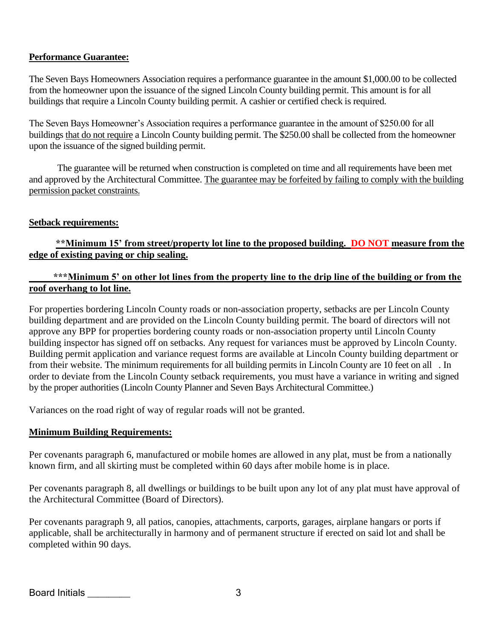## **Performance Guarantee:**

The Seven Bays Homeowners Association requires a performance guarantee in the amount \$1,000.00 to be collected from the homeowner upon the issuance of the signed Lincoln County building permit. This amount is for all buildings that require a Lincoln County building permit. A cashier or certified check is required.

The Seven Bays Homeowner's Association requires a performance guarantee in the amount of \$250.00 for all buildings that do not require a Lincoln County building permit. The \$250.00 shall be collected from the homeowner upon the issuance of the signed building permit.

The guarantee will be returned when construction is completed on time and all requirements have been met and approved by the Architectural Committee. The guarantee may be forfeited by failing to comply with the building permission packet constraints.

#### **Setback requirements:**

# **\*\*Minimum 15' from street/property lot line to the proposed building. DO NOT measure from the edge of existing paving or chip sealing.**

#### **\*\*\*Minimum 5' on other lot lines from the property line to the drip line of the building or from the roof overhang to lot line.**

For properties bordering Lincoln County roads or non-association property, setbacks are per Lincoln County building department and are provided on the Lincoln County building permit. The board of directors will not approve any BPP for properties bordering county roads or non-association property until Lincoln County building inspector has signed off on setbacks. Any request for variances must be approved by Lincoln County. Building permit application and variance request forms are available at Lincoln County building department or from their website. The minimum requirements for all building permits in Lincoln County are 10 feet on all . In order to deviate from the Lincoln County setback requirements, you must have a variance in writing and signed by the proper authorities (Lincoln County Planner and Seven Bays Architectural Committee.)

Variances on the road right of way of regular roads will not be granted.

## **Minimum Building Requirements:**

Per covenants paragraph 6, manufactured or mobile homes are allowed in any plat, must be from a nationally known firm, and all skirting must be completed within 60 days after mobile home is in place.

Per covenants paragraph 8, all dwellings or buildings to be built upon any lot of any plat must have approval of the Architectural Committee (Board of Directors).

Per covenants paragraph 9, all patios, canopies, attachments, carports, garages, airplane hangars or ports if applicable, shall be architecturally in harmony and of permanent structure if erected on said lot and shall be completed within 90 days.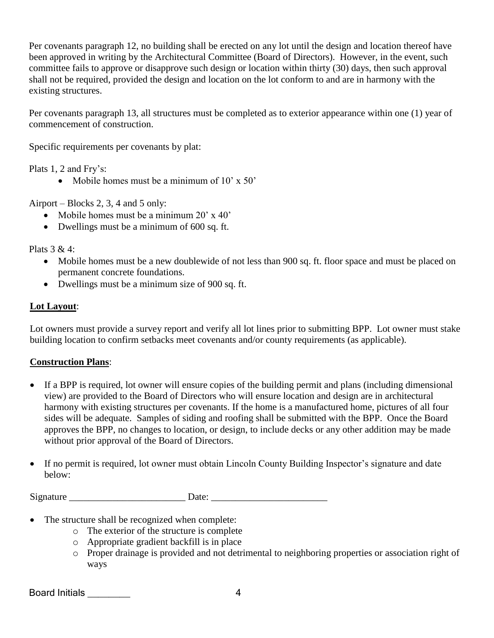Per covenants paragraph 12, no building shall be erected on any lot until the design and location thereof have been approved in writing by the Architectural Committee (Board of Directors). However, in the event, such committee fails to approve or disapprove such design or location within thirty (30) days, then such approval shall not be required, provided the design and location on the lot conform to and are in harmony with the existing structures.

Per covenants paragraph 13, all structures must be completed as to exterior appearance within one (1) year of commencement of construction.

Specific requirements per covenants by plat:

Plats 1, 2 and Fry's:

• Mobile homes must be a minimum of 10' x 50'

Airport – Blocks 2, 3, 4 and 5 only:

- Mobile homes must be a minimum 20' x 40'
- Dwellings must be a minimum of 600 sq. ft.

Plats 3 & 4:

- Mobile homes must be a new doublewide of not less than 900 sq. ft. floor space and must be placed on permanent concrete foundations.
- Dwellings must be a minimum size of 900 sq. ft.

## **Lot Layout**:

Lot owners must provide a survey report and verify all lot lines prior to submitting BPP. Lot owner must stake building location to confirm setbacks meet covenants and/or county requirements (as applicable).

## **Construction Plans**:

- If a BPP is required, lot owner will ensure copies of the building permit and plans (including dimensional view) are provided to the Board of Directors who will ensure location and design are in architectural harmony with existing structures per covenants. If the home is a manufactured home, pictures of all four sides will be adequate. Samples of siding and roofing shall be submitted with the BPP. Once the Board approves the BPP, no changes to location, or design, to include decks or any other addition may be made without prior approval of the Board of Directors.
- If no permit is required, lot owner must obtain Lincoln County Building Inspector's signature and date below:

Signature Date:

- The structure shall be recognized when complete:
	- o The exterior of the structure is complete
	- o Appropriate gradient backfill is in place
	- o Proper drainage is provided and not detrimental to neighboring properties or association right of ways

Board Initials \_\_\_\_\_\_\_\_ 4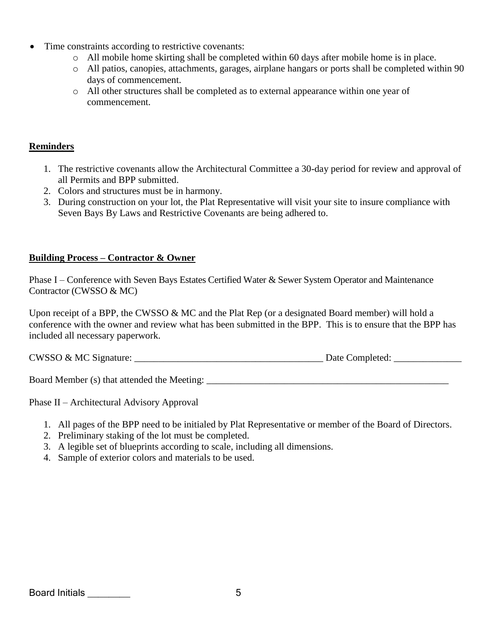- Time constraints according to restrictive covenants:
	- o All mobile home skirting shall be completed within 60 days after mobile home is in place.
	- o All patios, canopies, attachments, garages, airplane hangars or ports shall be completed within 90 days of commencement.
	- o All other structures shall be completed as to external appearance within one year of commencement.

#### **Reminders**

- 1. The restrictive covenants allow the Architectural Committee a 30-day period for review and approval of all Permits and BPP submitted.
- 2. Colors and structures must be in harmony.
- 3. During construction on your lot, the Plat Representative will visit your site to insure compliance with Seven Bays By Laws and Restrictive Covenants are being adhered to.

## **Building Process – Contractor & Owner**

Phase I – Conference with Seven Bays Estates Certified Water & Sewer System Operator and Maintenance Contractor (CWSSO & MC)

Upon receipt of a BPP, the CWSSO & MC and the Plat Rep (or a designated Board member) will hold a conference with the owner and review what has been submitted in the BPP. This is to ensure that the BPP has included all necessary paperwork.

CWSSO & MC Signature: \_\_\_\_\_\_\_\_\_\_\_\_\_\_\_\_\_\_\_\_\_\_\_\_\_\_\_\_\_\_\_\_\_\_\_\_\_\_\_ Date Completed: \_\_\_\_\_\_\_\_\_\_\_\_\_\_

Board Member (s) that attended the Meeting:

Phase II – Architectural Advisory Approval

- 1. All pages of the BPP need to be initialed by Plat Representative or member of the Board of Directors.
- 2. Preliminary staking of the lot must be completed.
- 3. A legible set of blueprints according to scale, including all dimensions.
- 4. Sample of exterior colors and materials to be used.